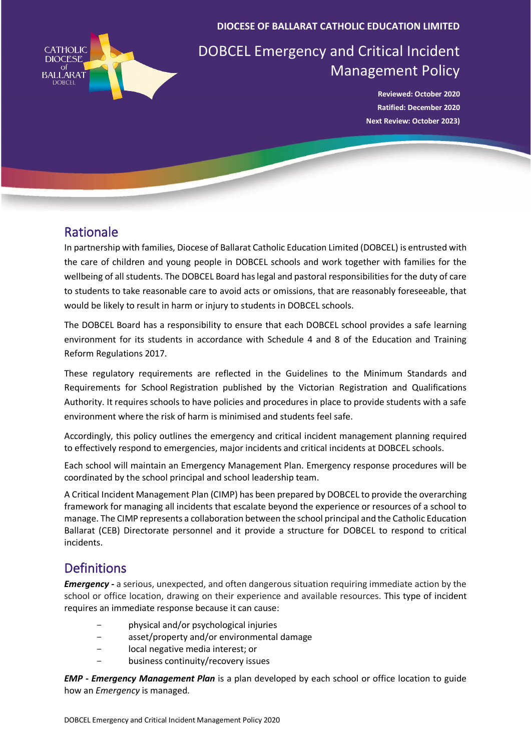

**DIOCESE OF BALLARAT CATHOLIC EDUCATION LIMITED**

# DOBCEL Emergency and Critical Incident Management Policy

**Reviewed: October 2020 Ratified: December 2020 Next Review: October 2023)** 

### Rationale

In partnership with families, Diocese of Ballarat Catholic Education Limited (DOBCEL) is entrusted with the care of children and young people in DOBCEL schools and work together with families for the wellbeing of all students. The DOBCEL Board has legal and pastoral responsibilities for the duty of care to students to take reasonable care to avoid acts or omissions, that are reasonably foreseeable, that would be likely to result in harm or injury to students in DOBCEL schools.

The DOBCEL Board has a responsibility to ensure that each DOBCEL school provides a safe learning environment for its students in accordance with Schedule 4 and 8 of the Education and Training Reform Regulations 2017.

These regulatory requirements are reflected in the [Guidelines to the Minimum Standards and](https://www.vrqa.vic.gov.au/Documents/schoolstandards.docx)  [Requirements for School](https://www.vrqa.vic.gov.au/Documents/schoolstandards.docx) Registration published by the Victorian Registration and Qualifications Authority. It requires schools to have policies and procedures in place to provide students with a safe environment where the risk of harm is minimised and students feel safe.

Accordingly, this policy outlines the emergency and critical incident management planning required to effectively respond to emergencies, major incidents and critical incidents at DOBCEL schools.

Each school will maintain an Emergency Management Plan. Emergency response procedures will be coordinated by the school principal and school leadership team.

A Critical Incident Management Plan (CIMP) has been prepared by DOBCEL to provide the overarching framework for managing all incidents that escalate beyond the experience or resources of a school to manage. The CIMP represents a collaboration between the school principal and the Catholic Education Ballarat (CEB) Directorate personnel and it provide a structure for DOBCEL to respond to critical incidents.

## **Definitions**

*Emergency -* a serious, unexpected, and often dangerous situation requiring immediate action by the school or office location, drawing on their experience and available resources. This type of incident requires an immediate response because it can cause:

- physical and/or psychological injuries
- asset/property and/or environmental damage
- local negative media interest; or
- business continuity/recovery issues

*EMP* **-** *Emergency Management Plan* is a plan developed by each school or office location to guide how an *Emergency* is managed.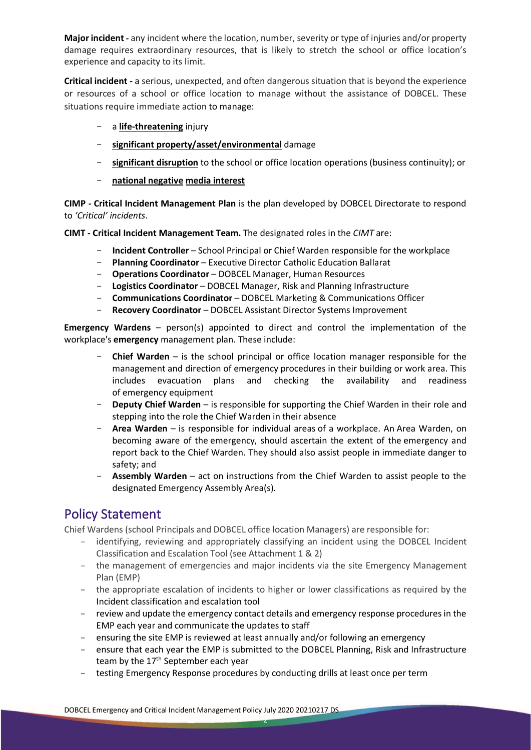**Major incident -** any incident where the location, number, severity or type of injuries and/or property damage requires extraordinary resources, that is likely to stretch the school or office location's experience and capacity to its limit.

**Critical incident -** a serious, unexpected, and often dangerous situation that is beyond the experience or resources of a school or office location to manage without the assistance of DOBCEL. These situations require immediate action to manage:

- a **life-threatening** injury
- **significant property/asset/environmental** damage
- **significant disruption** to the school or office location operations (business continuity); or
- **national negative media interest**

**CIMP - Critical Incident Management Plan** is the plan developed by DOBCEL Directorate to respond to *'Critical' incidents*.

**CIMT - Critical Incident Management Team.** The designated roles in the *CIMT* are:

- **Incident Controller** School Principal or Chief Warden responsible for the workplace
- **Planning Coordinator** Executive Director Catholic Education Ballarat
- **Operations Coordinator** DOBCEL Manager, Human Resources
- **Logistics Coordinator** DOBCEL Manager, Risk and Planning Infrastructure
- **Communications Coordinator** DOBCEL Marketing & Communications Officer
- **Recovery Coordinator** DOBCEL Assistant Director Systems Improvement

**Emergency Wardens** – person(s) appointed to direct and control the implementation of the workplace's **emergency** management plan. These include:

- **Chief Warden** is the school principal or office location manager responsible for the management and direction of emergency procedures in their building or work area. This includes evacuation plans and checking the availability and readiness of emergency equipment
- **Deputy Chief Warden** is responsible for supporting the Chief Warden in their role and stepping into the role the Chief Warden in their absence
- **Area Warden** is responsible for individual areas of a workplace. An Area Warden, on becoming aware of the emergency, should ascertain the extent of the emergency and report back to the Chief Warden. They should also assist people in immediate danger to safety; and
- **Assembly Warden** act on instructions from the Chief Warden to assist people to the designated Emergency Assembly Area(s).

### Policy Statement

Chief Wardens (school Principals and DOBCEL office location Managers) are responsible for:

- identifying, reviewing and appropriately classifying an incident using the DOBCEL Incident Classification and Escalation Tool (see Attachment 1 & 2)
- the management of emergencies and major incidents via the site Emergency Management Plan (EMP)
- the appropriate escalation of incidents to higher or lower classifications as required by the Incident classification and escalation tool
- review and update the emergency contact details and emergency response procedures in the EMP each year and communicate the updates to staff
- ensuring the site EMP is reviewed at least annually and/or following an emergency
- ensure that each year the EMP is submitted to the DOBCEL Planning, Risk and Infrastructure team by the 17<sup>th</sup> September each year
- testing Emergency Response procedures by conducting drills at least once per term

2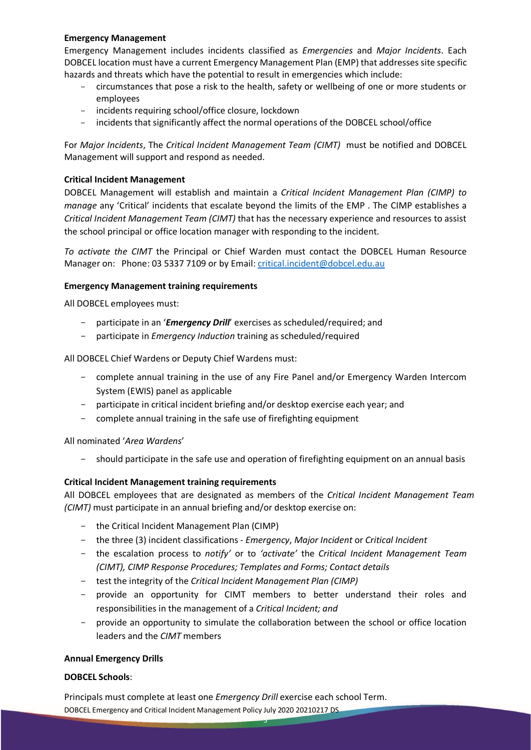#### **Emergency Management**

Emergency Management includes incidents classified as *Emergencies* and *Major Incidents*. Each DOBCEL location must have a current Emergency Management Plan (EMP) that addresses site specific hazards and threats which have the potential to result in emergencies which include:

- circumstances that pose a risk to the health, safety or wellbeing of one or more students or employees
- incidents requiring school/office closure, lockdown
- incidents that significantly affect the normal operations of the DOBCEL school/office

For *Major Incidents*, The *Critical Incident Management Team (CIMT)* must be notified and DOBCEL Management will support and respond as needed.

#### **Critical Incident Management**

DOBCEL Management will establish and maintain a *Critical Incident Management Plan (CIMP) to manage* any 'Critical' incidents that escalate beyond the limits of the EMP . The CIMP establishes a *Critical Incident Management Team (CIMT)* that has the necessary experience and resources to assist the school principal or office location manager with responding to the incident.

*To activate the CIMT* the Principal or Chief Warden must contact the DOBCEL Human Resource Manager on: Phone: 03 5337 7109 or by Email: [critical.incident@dobcel.edu.au](mailto:critical.incident@dobcel.edu.au)

#### **Emergency Management training requirements**

All DOBCEL employees must:

- participate in an '*Emergency Drill*' exercises as scheduled/required; and
- participate in *Emergency Induction* training as scheduled/required

All DOBCEL Chief Wardens or Deputy Chief Wardens must:

- complete annual training in the use of any Fire Panel and/or Emergency Warden Intercom System (EWIS) panel as applicable
- participate in critical incident briefing and/or desktop exercise each year; and
- complete annual training in the safe use of firefighting equipment

All nominated '*Area Wardens*'

should participate in the safe use and operation of firefighting equipment on an annual basis

#### **Critical Incident Management training requirements**

All DOBCEL employees that are designated as members of the *Critical Incident Management Team (CIMT)* must participate in an annual briefing and/or desktop exercise on:

- the Critical Incident Management Plan (CIMP)
- the three (3) incident classifications *Emergency*, *Major Incident* or *Critical Incident*
- the escalation process to *notify'* or to *'activate'* the *Critical Incident Management Team (CIMT), CIMP Response Procedures; Templates and Forms; Contact details*
- test the integrity of the *Critical Incident Management Plan (CIMP)*
- provide an opportunity for CIMT members to better understand their roles and responsibilities in the management of a *Critical Incident; and*
- provide an opportunity to simulate the collaboration between the school or office location leaders and the *CIMT* members

3

#### **Annual Emergency Drills**

#### **DOBCEL Schools**:

DOBCEL Emergency and Critical Incident Management Policy July 2020 20210217 DS Principals must complete at least one *Emergency Drill* exercise each school Term.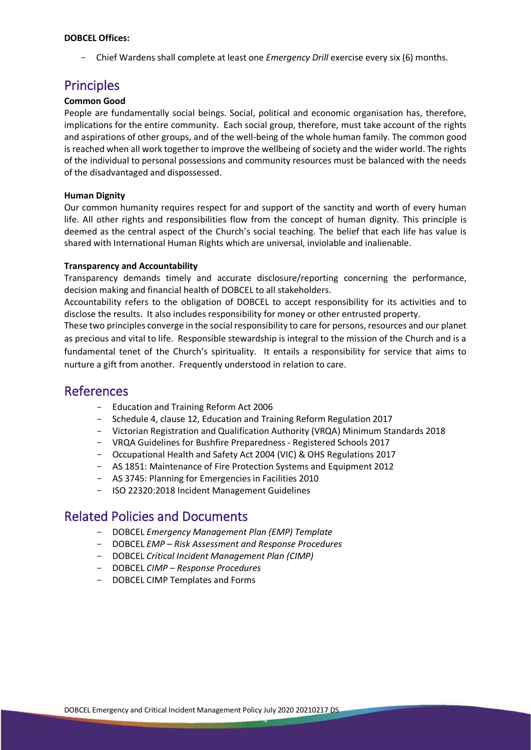#### **DOBCEL Offices:**

Chief Wardens shall complete at least one *Emergency Drill* exercise every six (6) months.

### Principles

#### **Common Good**

People are fundamentally social beings. Social, political and economic organisation has, therefore, implications for the entire community. Each social group, therefore, must take account of the rights and aspirations of other groups, and of the well-being of the whole human family. The common good is reached when all work together to improve the wellbeing of society and the wider world. The rights of the individual to personal possessions and community resources must be balanced with the needs of the disadvantaged and dispossessed.

#### **Human Dignity**

Our common humanity requires respect for and support of the sanctity and worth of every human life. All other rights and responsibilities flow from the concept of human dignity. This principle is deemed as the central aspect of the Church's social teaching. The belief that each life has value is shared with International Human Rights which are universal, inviolable and inalienable.

#### **Transparency and Accountability**

Transparency demands timely and accurate disclosure/reporting concerning the performance, decision making and financial health of DOBCEL to all stakeholders.

Accountability refers to the obligation of DOBCEL to accept responsibility for its activities and to disclose the results. It also includes responsibility for money or other entrusted property.

These two principles converge in the social responsibility to care for persons, resources and our planet as precious and vital to life. Responsible stewardship is integral to the mission of the Church and is a fundamental tenet of the Church's spirituality. It entails a responsibility for service that aims to nurture a gift from another. Frequently understood in relation to care.

### References

- Education and Training Reform Act 2006
- Schedule 4, clause 12, Education and Training Reform Regulation 2017
- Victorian Registration and Qualification Authority (VRQA) Minimum Standards 2018
- VRQA Guidelines for Bushfire Preparedness Registered Schools 2017
- Occupational Health and Safety Act 2004 (VIC) & OHS Regulations 2017
- AS 1851: Maintenance of Fire Protection Systems and Equipment 2012
- AS 3745: Planning for Emergencies in Facilities 2010
- ISO 22320:2018 Incident Management Guidelines

### Related Policies and Documents

- DOBCEL *Emergency Management Plan (EMP) Template*
- DOBCEL *EMP – Risk Assessment and Response Procedures*
- DOBCEL *Critical Incident Management Plan (CIMP)*
- DOBCEL *CIMP – Response Procedures*
- DOBCEL CIMP Templates and Forms

4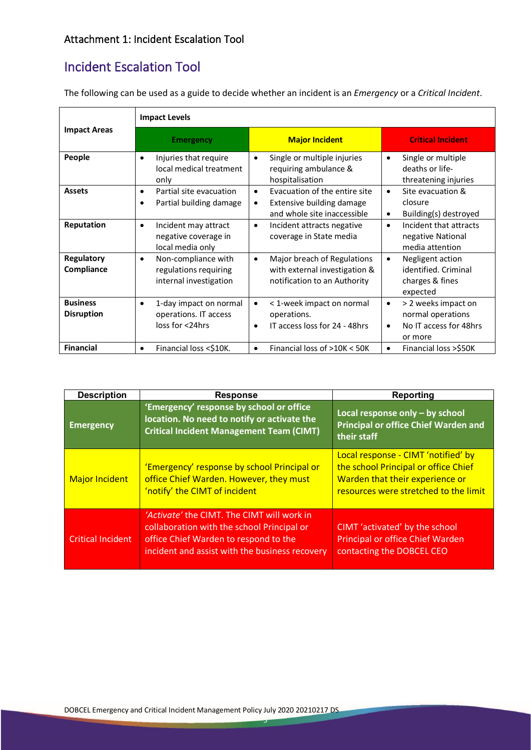## Incident Escalation Tool

|                                      | <b>Impact Levels</b>                                                                |                                                                                                             |                                                                                                         |  |  |
|--------------------------------------|-------------------------------------------------------------------------------------|-------------------------------------------------------------------------------------------------------------|---------------------------------------------------------------------------------------------------------|--|--|
| <b>Impact Areas</b>                  | <b>Emergency</b>                                                                    | <b>Major Incident</b>                                                                                       | <b>Critical Incident</b>                                                                                |  |  |
| People                               | Injuries that require<br>$\bullet$<br>local medical treatment<br>only               | Single or multiple injuries<br>$\bullet$<br>requiring ambulance &<br>hospitalisation                        | Single or multiple<br>$\bullet$<br>deaths or life-<br>threatening injuries                              |  |  |
| <b>Assets</b>                        | Partial site evacuation<br>$\bullet$<br>Partial building damage<br>٠                | Evacuation of the entire site<br>$\bullet$<br>Extensive building damage<br>٠<br>and whole site inaccessible | Site evacuation &<br>$\bullet$<br>closure<br>Building(s) destroyed<br>$\bullet$                         |  |  |
| Reputation                           | Incident may attract<br>٠<br>negative coverage in<br>local media only               | Incident attracts negative<br>$\bullet$<br>coverage in State media                                          | Incident that attracts<br>$\bullet$<br>negative National<br>media attention                             |  |  |
| <b>Regulatory</b><br>Compliance      | Non-compliance with<br>$\bullet$<br>regulations requiring<br>internal investigation | Major breach of Regulations<br>$\bullet$<br>with external investigation &<br>notification to an Authority   | Negligent action<br>$\bullet$<br>identified. Criminal<br>charges & fines<br>expected                    |  |  |
| <b>Business</b><br><b>Disruption</b> | 1-day impact on normal<br>٠<br>operations. IT access<br>loss for <24hrs             | < 1-week impact on normal<br>٠<br>operations.<br>IT access loss for 24 - 48hrs<br>$\bullet$                 | > 2 weeks impact on<br>$\bullet$<br>normal operations<br>No IT access for 48hrs<br>$\bullet$<br>or more |  |  |
| <b>Financial</b>                     | Financial loss <\$10K.<br>٠                                                         | Financial loss of >10K < 50K                                                                                | Financial loss >\$50K<br>$\bullet$                                                                      |  |  |

The following can be used as a guide to decide whether an incident is an *Emergency* or a *Critical Incident*.

| <b>Description</b>       | <b>Response</b>                                                                                                                                                                     | <b>Reporting</b>                                                                                                                                        |  |
|--------------------------|-------------------------------------------------------------------------------------------------------------------------------------------------------------------------------------|---------------------------------------------------------------------------------------------------------------------------------------------------------|--|
| <b>Emergency</b>         | 'Emergency' response by school or office<br>location. No need to notify or activate the<br><b>Critical Incident Management Team (CIMT)</b>                                          | Local response only - by school<br><b>Principal or office Chief Warden and</b><br>their staff                                                           |  |
| <b>Major Incident</b>    | 'Emergency' response by school Principal or<br>office Chief Warden. However, they must<br>'notify' the CIMT of incident                                                             | Local response - CIMT 'notified' by<br>the school Principal or office Chief<br>Warden that their experience or<br>resources were stretched to the limit |  |
| <b>Critical Incident</b> | 'Activate' the CIMT. The CIMT will work in<br>collaboration with the school Principal or<br>office Chief Warden to respond to the<br>incident and assist with the business recovery | CIMT 'activated' by the school<br>Principal or office Chief Warden<br>contacting the DOBCEL CEO                                                         |  |

5